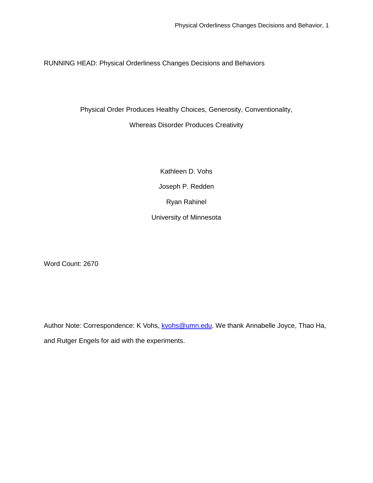RUNNING HEAD: Physical Orderliness Changes Decisions and Behaviors

Physical Order Produces Healthy Choices, Generosity, Conventionality,

### Whereas Disorder Produces Creativity

Kathleen D. Vohs Joseph P. Redden Ryan Rahinel University of Minnesota

Word Count: 2670

Author Note: Correspondence: K Vohs, [kvohs@umn.edu.](mailto:kvohs@umn.edu) We thank Annabelle Joyce, Thao Ha, and Rutger Engels for aid with the experiments.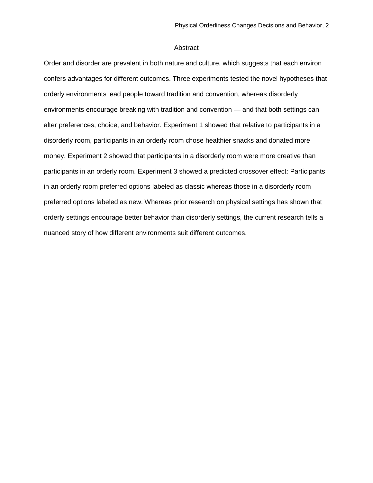### Abstract

Order and disorder are prevalent in both nature and culture, which suggests that each environ confers advantages for different outcomes. Three experiments tested the novel hypotheses that orderly environments lead people toward tradition and convention, whereas disorderly environments encourage breaking with tradition and convention — and that both settings can alter preferences, choice, and behavior. Experiment 1 showed that relative to participants in a disorderly room, participants in an orderly room chose healthier snacks and donated more money. Experiment 2 showed that participants in a disorderly room were more creative than participants in an orderly room. Experiment 3 showed a predicted crossover effect: Participants in an orderly room preferred options labeled as classic whereas those in a disorderly room preferred options labeled as new. Whereas prior research on physical settings has shown that orderly settings encourage better behavior than disorderly settings, the current research tells a nuanced story of how different environments suit different outcomes.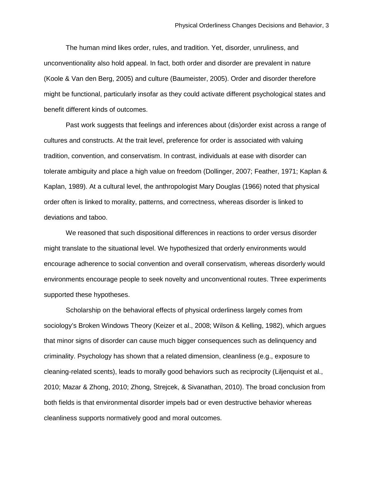The human mind likes order, rules, and tradition. Yet, disorder, unruliness, and unconventionality also hold appeal. In fact, both order and disorder are prevalent in nature (Koole & Van den Berg, 2005) and culture (Baumeister, 2005). Order and disorder therefore might be functional, particularly insofar as they could activate different psychological states and benefit different kinds of outcomes.

Past work suggests that feelings and inferences about (dis)order exist across a range of cultures and constructs. At the trait level, preference for order is associated with valuing tradition, convention, and conservatism. In contrast, individuals at ease with disorder can tolerate ambiguity and place a high value on freedom (Dollinger, 2007; Feather, 1971; Kaplan & Kaplan, 1989). At a cultural level, the anthropologist Mary Douglas (1966) noted that physical order often is linked to morality, patterns, and correctness, whereas disorder is linked to deviations and taboo.

We reasoned that such dispositional differences in reactions to order versus disorder might translate to the situational level. We hypothesized that orderly environments would encourage adherence to social convention and overall conservatism, whereas disorderly would environments encourage people to seek novelty and unconventional routes. Three experiments supported these hypotheses.

Scholarship on the behavioral effects of physical orderliness largely comes from sociology's Broken Windows Theory (Keizer et al., 2008; Wilson & Kelling, 1982), which argues that minor signs of disorder can cause much bigger consequences such as delinquency and criminality. Psychology has shown that a related dimension, cleanliness (e.g., exposure to cleaning-related scents), leads to morally good behaviors such as reciprocity (Liljenquist et al., 2010; Mazar & Zhong, 2010; Zhong, Strejcek, & Sivanathan, 2010). The broad conclusion from both fields is that environmental disorder impels bad or even destructive behavior whereas cleanliness supports normatively good and moral outcomes.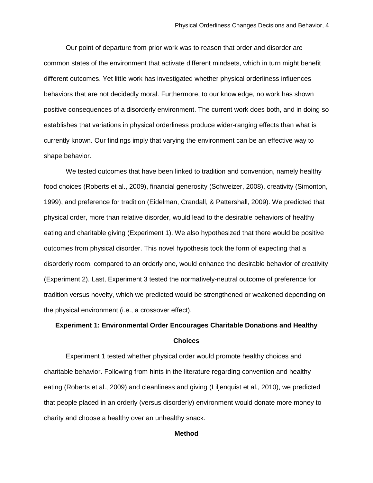Our point of departure from prior work was to reason that order and disorder are common states of the environment that activate different mindsets, which in turn might benefit different outcomes. Yet little work has investigated whether physical orderliness influences behaviors that are not decidedly moral. Furthermore, to our knowledge, no work has shown positive consequences of a disorderly environment. The current work does both, and in doing so establishes that variations in physical orderliness produce wider-ranging effects than what is currently known. Our findings imply that varying the environment can be an effective way to shape behavior.

We tested outcomes that have been linked to tradition and convention, namely healthy food choices (Roberts et al., 2009), financial generosity (Schweizer, 2008), creativity (Simonton, 1999), and preference for tradition (Eidelman, Crandall, & Pattershall, 2009). We predicted that physical order, more than relative disorder, would lead to the desirable behaviors of healthy eating and charitable giving (Experiment 1). We also hypothesized that there would be positive outcomes from physical disorder. This novel hypothesis took the form of expecting that a disorderly room, compared to an orderly one, would enhance the desirable behavior of creativity (Experiment 2). Last, Experiment 3 tested the normatively-neutral outcome of preference for tradition versus novelty, which we predicted would be strengthened or weakened depending on the physical environment (i.e., a crossover effect).

# **Experiment 1: Environmental Order Encourages Charitable Donations and Healthy Choices**

Experiment 1 tested whether physical order would promote healthy choices and charitable behavior. Following from hints in the literature regarding convention and healthy eating (Roberts et al., 2009) and cleanliness and giving (Liljenquist et al., 2010), we predicted that people placed in an orderly (versus disorderly) environment would donate more money to charity and choose a healthy over an unhealthy snack.

### **Method**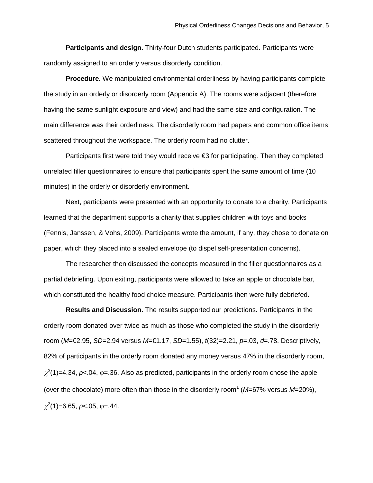**Participants and design.** Thirty-four Dutch students participated. Participants were randomly assigned to an orderly versus disorderly condition.

**Procedure.** We manipulated environmental orderliness by having participants complete the study in an orderly or disorderly room (Appendix A). The rooms were adjacent (therefore having the same sunlight exposure and view) and had the same size and configuration. The main difference was their orderliness. The disorderly room had papers and common office items scattered throughout the workspace. The orderly room had no clutter.

Participants first were told they would receive  $\epsilon$ 3 for participating. Then they completed unrelated filler questionnaires to ensure that participants spent the same amount of time (10 minutes) in the orderly or disorderly environment.

Next, participants were presented with an opportunity to donate to a charity. Participants learned that the department supports a charity that supplies children with toys and books (Fennis, Janssen, & Vohs, 2009). Participants wrote the amount, if any, they chose to donate on paper, which they placed into a sealed envelope (to dispel self-presentation concerns).

The researcher then discussed the concepts measured in the filler questionnaires as a partial debriefing. Upon exiting, participants were allowed to take an apple or chocolate bar, which constituted the healthy food choice measure. Participants then were fully debriefed.

**Results and Discussion.** The results supported our predictions. Participants in the orderly room donated over twice as much as those who completed the study in the disorderly room (*M*=€2.95, *SD*=2.94 versus *M*=€1.17, *SD*=1.55), *t*(32)=2.21, *p*=.03, *d*=.78. Descriptively, 82% of participants in the orderly room donated any money versus 47% in the disorderly room,  $\chi^2(1)$ =4.34,  $p$ <.04,  $\varphi$ =.36. Also as predicted, participants in the orderly room chose the apple (over the chocolate) more often than those in the disorderly room<sup>1</sup> (M=67% versus M=20%),  $\chi^2(1)$ =6.65, *p* < 05,  $\varphi$  = 44.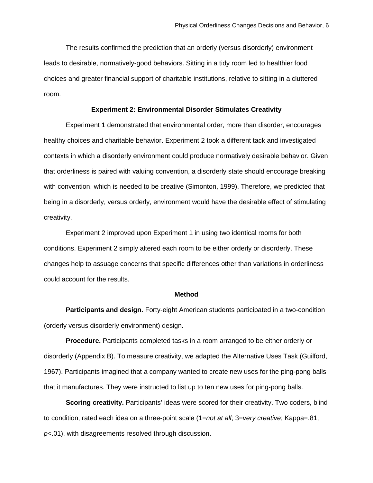The results confirmed the prediction that an orderly (versus disorderly) environment leads to desirable, normatively-good behaviors. Sitting in a tidy room led to healthier food choices and greater financial support of charitable institutions, relative to sitting in a cluttered room.

### **Experiment 2: Environmental Disorder Stimulates Creativity**

Experiment 1 demonstrated that environmental order, more than disorder, encourages healthy choices and charitable behavior. Experiment 2 took a different tack and investigated contexts in which a disorderly environment could produce normatively desirable behavior. Given that orderliness is paired with valuing convention, a disorderly state should encourage breaking with convention, which is needed to be creative (Simonton, 1999). Therefore, we predicted that being in a disorderly, versus orderly, environment would have the desirable effect of stimulating creativity.

Experiment 2 improved upon Experiment 1 in using two identical rooms for both conditions. Experiment 2 simply altered each room to be either orderly or disorderly. These changes help to assuage concerns that specific differences other than variations in orderliness could account for the results.

#### **Method**

**Participants and design.** Forty-eight American students participated in a two-condition (orderly versus disorderly environment) design.

**Procedure.** Participants completed tasks in a room arranged to be either orderly or disorderly (Appendix B). To measure creativity, we adapted the Alternative Uses Task (Guilford, 1967). Participants imagined that a company wanted to create new uses for the ping-pong balls that it manufactures. They were instructed to list up to ten new uses for ping-pong balls.

**Scoring creativity.** Participants' ideas were scored for their creativity. Two coders, blind to condition, rated each idea on a three-point scale (1=*not at all*; 3=*very creative*; Kappa=.81, *p*<.01), with disagreements resolved through discussion.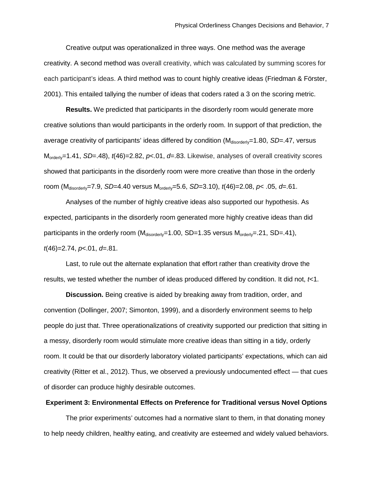Creative output was operationalized in three ways. One method was the average creativity. A second method was overall creativity, which was calculated by summing scores for each participant's ideas. A third method was to count highly creative ideas (Friedman & Förster, 2001). This entailed tallying the number of ideas that coders rated a 3 on the scoring metric.

**Results.** We predicted that participants in the disorderly room would generate more creative solutions than would participants in the orderly room. In support of that prediction, the average creativity of participants' ideas differed by condition (M<sub>disorderly</sub>=1.80, *SD*=.47, versus Morderly=1.41, *SD*=.48), *t*(46)=2.82, *p*<.01, *d*=.83. Likewise, analyses of overall creativity scores showed that participants in the disorderly room were more creative than those in the orderly room (Mdisorderly=7.9, *SD*=4.40 versus Morderly=5.6, *SD*=3.10), *t*(46)=2.08, *p*< .05, *d*=.61.

Analyses of the number of highly creative ideas also supported our hypothesis. As expected, participants in the disorderly room generated more highly creative ideas than did participants in the orderly room ( $M_{disorder/v}$ =1.00, SD=1.35 versus  $M_{order/v}$ =.21, SD=.41), *t*(46)=2.74, *p*<.01, *d*=.81.

Last, to rule out the alternate explanation that effort rather than creativity drove the results, we tested whether the number of ideas produced differed by condition. It did not, *t*<1.

**Discussion.** Being creative is aided by breaking away from tradition, order, and convention (Dollinger, 2007; Simonton, 1999), and a disorderly environment seems to help people do just that. Three operationalizations of creativity supported our prediction that sitting in a messy, disorderly room would stimulate more creative ideas than sitting in a tidy, orderly room. It could be that our disorderly laboratory violated participants' expectations, which can aid creativity (Ritter et al., 2012). Thus, we observed a previously undocumented effect — that cues of disorder can produce highly desirable outcomes.

### **Experiment 3: Environmental Effects on Preference for Traditional versus Novel Options**

The prior experiments' outcomes had a normative slant to them, in that donating money to help needy children, healthy eating, and creativity are esteemed and widely valued behaviors.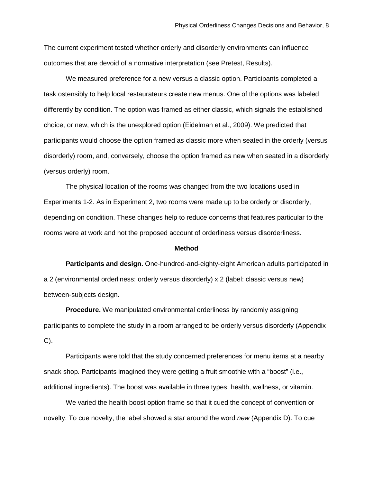The current experiment tested whether orderly and disorderly environments can influence outcomes that are devoid of a normative interpretation (see Pretest, Results).

We measured preference for a new versus a classic option. Participants completed a task ostensibly to help local restaurateurs create new menus. One of the options was labeled differently by condition. The option was framed as either classic, which signals the established choice, or new, which is the unexplored option (Eidelman et al., 2009). We predicted that participants would choose the option framed as classic more when seated in the orderly (versus disorderly) room, and, conversely, choose the option framed as new when seated in a disorderly (versus orderly) room.

The physical location of the rooms was changed from the two locations used in Experiments 1-2. As in Experiment 2, two rooms were made up to be orderly or disorderly, depending on condition. These changes help to reduce concerns that features particular to the rooms were at work and not the proposed account of orderliness versus disorderliness.

### **Method**

**Participants and design.** One-hundred-and-eighty-eight American adults participated in a 2 (environmental orderliness: orderly versus disorderly) x 2 (label: classic versus new) between-subjects design.

**Procedure.** We manipulated environmental orderliness by randomly assigning participants to complete the study in a room arranged to be orderly versus disorderly (Appendix C).

Participants were told that the study concerned preferences for menu items at a nearby snack shop. Participants imagined they were getting a fruit smoothie with a "boost" (i.e., additional ingredients). The boost was available in three types: health, wellness, or vitamin.

We varied the health boost option frame so that it cued the concept of convention or novelty. To cue novelty, the label showed a star around the word *new* (Appendix D). To cue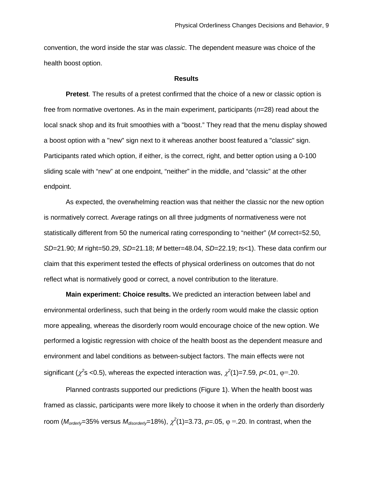convention, the word inside the star was *classic*. The dependent measure was choice of the health boost option.

### **Results**

**Pretest**. The results of a pretest confirmed that the choice of a new or classic option is free from normative overtones. As in the main experiment, participants (*n*=28) read about the local snack shop and its fruit smoothies with a "boost." They read that the menu display showed a boost option with a "new" sign next to it whereas another boost featured a "classic" sign. Participants rated which option, if either, is the correct, right, and better option using a 0-100 sliding scale with "new" at one endpoint, "neither" in the middle, and "classic" at the other endpoint.

As expected, the overwhelming reaction was that neither the classic nor the new option is normatively correct. Average ratings on all three judgments of normativeness were not statistically different from 50 the numerical rating corresponding to "neither" (*M* correct=52.50, *SD*=21.90; *M* right=50.29, *SD*=21.18; *M* better=48.04, *SD*=22.19; *t*s<1). These data confirm our claim that this experiment tested the effects of physical orderliness on outcomes that do not reflect what is normatively good or correct, a novel contribution to the literature.

**Main experiment: Choice results.** We predicted an interaction between label and environmental orderliness, such that being in the orderly room would make the classic option more appealing, whereas the disorderly room would encourage choice of the new option. We performed a logistic regression with choice of the health boost as the dependent measure and environment and label conditions as between-subject factors. The main effects were not significant ( $\chi^2$ s <0.5), whereas the expected interaction was,  $\chi^2$ (1)=7.59, *p*<.01, φ=.20.

Planned contrasts supported our predictions (Figure 1). When the health boost was framed as classic, participants were more likely to choose it when in the orderly than disorderly room ( $M_{\text{order/y}}$ =35% versus  $M_{\text{disorder/y}}$ =18%),  $\chi^2$ (1)=3.73,  $p$ =.05, φ =.20. In contrast, when the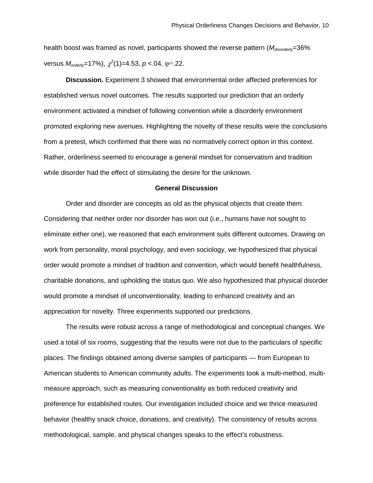health boost was framed as novel, participants showed the reverse pattern ( $M_{disorder/y}=36\%$ versus *Morderly*=17%), <sup>χ</sup> *2* (1)=4.53, *p* <.04, φ=.22.

**Discussion.** Experiment 3 showed that environmental order affected preferences for established versus novel outcomes. The results supported our prediction that an orderly environment activated a mindset of following convention while a disorderly environment promoted exploring new avenues. Highlighting the novelty of these results were the conclusions from a pretest, which confirmed that there was no normatively correct option in this context. Rather, orderliness seemed to encourage a general mindset for conservatism and tradition while disorder had the effect of stimulating the desire for the unknown.

### **General Discussion**

Order and disorder are concepts as old as the physical objects that create them. Considering that neither order nor disorder has won out (i.e., humans have not sought to eliminate either one), we reasoned that each environment suits different outcomes. Drawing on work from personality, moral psychology, and even sociology, we hypothesized that physical order would promote a mindset of tradition and convention, which would benefit healthfulness, charitable donations, and upholding the status quo. We also hypothesized that physical disorder would promote a mindset of unconventionality, leading to enhanced creativity and an appreciation for novelty. Three experiments supported our predictions.

The results were robust across a range of methodological and conceptual changes. We used a total of six rooms, suggesting that the results were not due to the particulars of specific places. The findings obtained among diverse samples of participants — from European to American students to American community adults. The experiments took a multi-method, multimeasure approach, such as measuring conventionality as both reduced creativity and preference for established routes. Our investigation included choice and we thrice measured behavior (healthy snack choice, donations, and creativity). The consistency of results across methodological, sample, and physical changes speaks to the effect's robustness.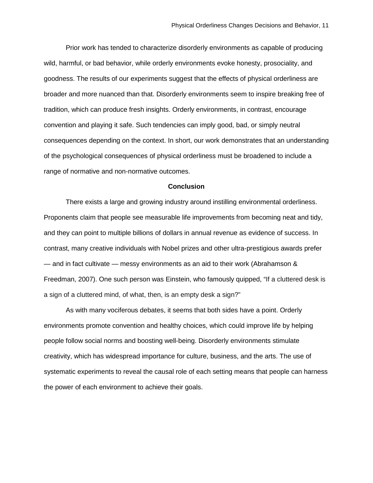Prior work has tended to characterize disorderly environments as capable of producing wild, harmful, or bad behavior, while orderly environments evoke honesty, prosociality, and goodness. The results of our experiments suggest that the effects of physical orderliness are broader and more nuanced than that. Disorderly environments seem to inspire breaking free of tradition, which can produce fresh insights. Orderly environments, in contrast, encourage convention and playing it safe. Such tendencies can imply good, bad, or simply neutral consequences depending on the context. In short, our work demonstrates that an understanding of the psychological consequences of physical orderliness must be broadened to include a range of normative and non-normative outcomes.

#### **Conclusion**

There exists a large and growing industry around instilling environmental orderliness. Proponents claim that people see measurable life improvements from becoming neat and tidy, and they can point to multiple billions of dollars in annual revenue as evidence of success. In contrast, many creative individuals with Nobel prizes and other ultra-prestigious awards prefer — and in fact cultivate — messy environments as an aid to their work (Abrahamson & Freedman, 2007). One such person was Einstein, who famously quipped, "If a cluttered desk is a sign of a cluttered mind, of what, then, is an empty desk a sign?"

As with many vociferous debates, it seems that both sides have a point. Orderly environments promote convention and healthy choices, which could improve life by helping people follow social norms and boosting well-being. Disorderly environments stimulate creativity, which has widespread importance for culture, business, and the arts. The use of systematic experiments to reveal the causal role of each setting means that people can harness the power of each environment to achieve their goals.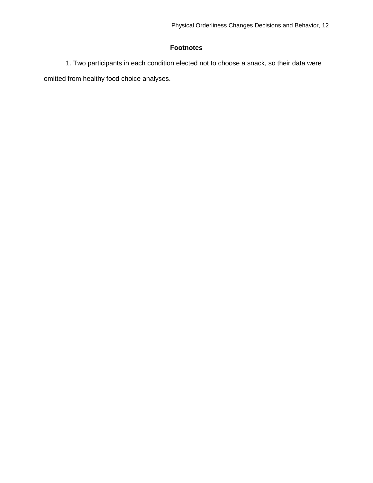### **Footnotes**

1. Two participants in each condition elected not to choose a snack, so their data were omitted from healthy food choice analyses.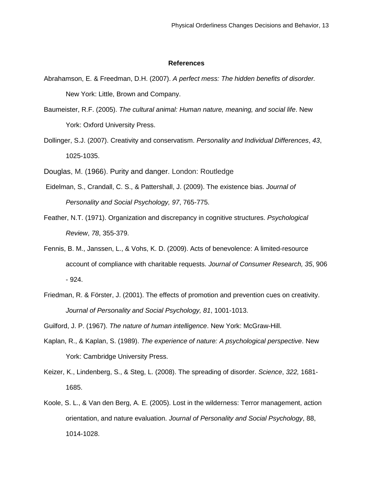#### **References**

- Abrahamson, E. & Freedman, D.H. (2007). *A perfect mess: The hidden benefits of disorder.*  New York: Little, Brown and Company.
- Baumeister, R.F. (2005). *The cultural animal: Human nature, meaning, and social life*. New York: Oxford University Press.
- Dollinger, S.J. (2007). Creativity and conservatism. *Personality and Individual Differences*, *43*, 1025-1035.
- Douglas, M. (1966). Purity and danger. London: Routledge
- Eidelman, S., Crandall, C. S., & Pattershall, J. (2009). The existence bias. *Journal of Personality and Social Psychology, 97*, 765-775.
- Feather, N.T. (1971). Organization and discrepancy in cognitive structures. *Psychological Review*, *78*, 355-379.
- Fennis, B. M., Janssen, L., & Vohs, K. D. (2009). Acts of benevolence: A limited-resource account of compliance with charitable requests. *Journal of Consumer Research, 35*, 906 - 924.
- Friedman, R. & Förster, J. (2001). The effects of promotion and prevention cues on creativity. *Journal of Personality and Social Psychology, 81*, 1001-1013.

Guilford, J. P. (1967). *The nature of human intelligence*. New York: McGraw-Hill.

- Kaplan, R., & Kaplan, S. (1989). *The experience of nature: A psychological perspective*. New York: Cambridge University Press.
- Keizer, K., Lindenberg, S., & Steg, L. (2008). The spreading of disorder. *Science*, *322,* 1681- 1685.
- Koole, S. L., & Van den Berg, A. E. (2005). Lost in the wilderness: Terror management, action orientation, and nature evaluation. *Journal of Personality and Social Psychology*, 88, 1014-1028.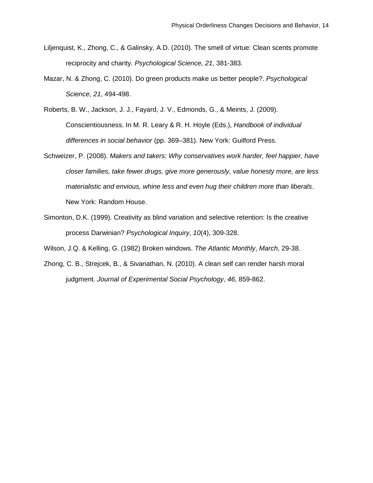- Liljenquist, K., Zhong, C., & Galinsky, A.D. (2010). The smell of virtue: Clean scents promote reciprocity and charity. *Psychological Science, 21*, 381-383.
- Mazar, N. & Zhong, C. (2010). Do green products make us better people?. *Psychological Science*, *21*, 494-498.
- Roberts, B. W., Jackson, J. J., Fayard, J. V., Edmonds, G., & Meints, J. (2009). Conscientiousness. In M. R. Leary & R. H. Hoyle (Eds.), *Handbook of individual differences in social behavior* (pp. 369–381). New York: Guilford Press.
- Schweizer, P. (2008). *Makers and takers: Why conservatives work harder, feel happier, have closer families, take fewer drugs, give more generously, value honesty more, are less materialistic and envious, whine less and even hug their children more than liberals*. New York: Random House.
- Simonton, D.K. (1999). Creativity as blind variation and selective retention: Is the creative process Darwinian? *Psychological Inquiry*, *10*(4), 309-328.

Wilson, J.Q. & Kelling, G. (1982) Broken windows. *The Atlantic Monthly*, *March*, 29-38.

Zhong, C. B., Strejcek, B., & Sivanathan, N. (2010). A clean self can render harsh moral judgment. *Journal of Experimental Social Psychology*, *46*, 859-862.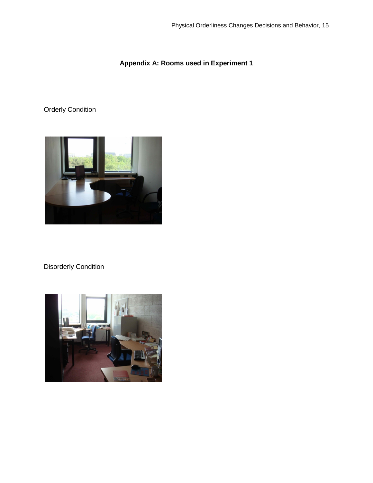## **Appendix A: Rooms used in Experiment 1**

# Orderly Condition



# Disorderly Condition

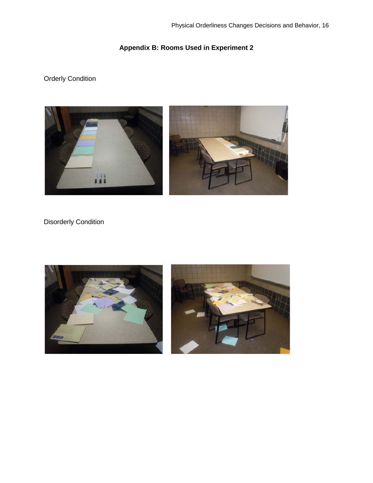# **Appendix B: Rooms Used in Experiment 2**

# Orderly Condition



## Disorderly Condition

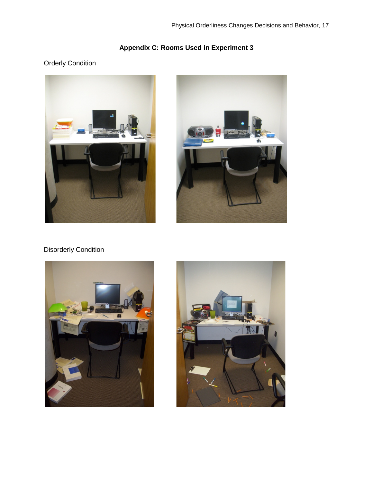# **Appendix C: Rooms Used in Experiment 3**

## Orderly Condition





# Disorderly Condition



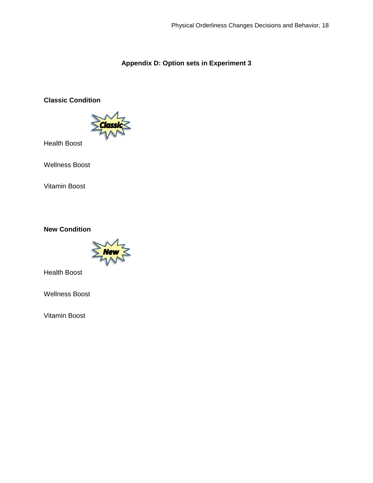## **Appendix D: Option sets in Experiment 3**

## **Classic Condition**



Health Boost

Wellness Boost

Vitamin Boost

### **New Condition**



Health Boost

Wellness Boost

Vitamin Boost